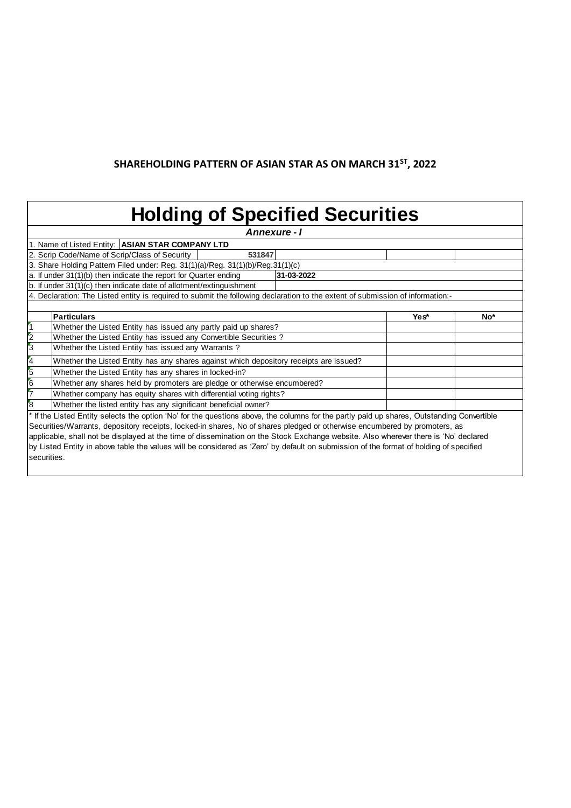## **SHAREHOLDING PATTERN OF ASIAN STAR AS ON MARCH 31ST, 2022**

## **Holding of Specified Securities**

|                                                                                                                                | Annexure - I                                                                                                                               |            |                 |  |  |  |  |  |  |  |  |  |  |
|--------------------------------------------------------------------------------------------------------------------------------|--------------------------------------------------------------------------------------------------------------------------------------------|------------|-----------------|--|--|--|--|--|--|--|--|--|--|
|                                                                                                                                | 1. Name of Listed Entity: ASIAN STAR COMPANY LTD                                                                                           |            |                 |  |  |  |  |  |  |  |  |  |  |
|                                                                                                                                | 2. Scrip Code/Name of Scrip/Class of Security                                                                                              | 531847     |                 |  |  |  |  |  |  |  |  |  |  |
|                                                                                                                                | 3. Share Holding Pattern Filed under: Reg. 31(1)(a)/Reg. 31(1)(b)/Reg.31(1)(c)                                                             |            |                 |  |  |  |  |  |  |  |  |  |  |
|                                                                                                                                | a. If under 31(1)(b) then indicate the report for Quarter ending                                                                           | 31-03-2022 |                 |  |  |  |  |  |  |  |  |  |  |
| b. If under 31(1)(c) then indicate date of allotment/extinguishment                                                            |                                                                                                                                            |            |                 |  |  |  |  |  |  |  |  |  |  |
| 4. Declaration: The Listed entity is required to submit the following declaration to the extent of submission of information:- |                                                                                                                                            |            |                 |  |  |  |  |  |  |  |  |  |  |
|                                                                                                                                |                                                                                                                                            |            |                 |  |  |  |  |  |  |  |  |  |  |
|                                                                                                                                | Particulars                                                                                                                                | Yes*       | No <sup>*</sup> |  |  |  |  |  |  |  |  |  |  |
|                                                                                                                                | Whether the Listed Entity has issued any partly paid up shares?                                                                            |            |                 |  |  |  |  |  |  |  |  |  |  |
| $\overline{2}$                                                                                                                 | Whether the Listed Entity has issued any Convertible Securities?                                                                           |            |                 |  |  |  |  |  |  |  |  |  |  |
| $\overline{3}$                                                                                                                 | Whether the Listed Entity has issued any Warrants?                                                                                         |            |                 |  |  |  |  |  |  |  |  |  |  |
| $\mathsf{F}_4$                                                                                                                 | Whether the Listed Entity has any shares against which depository receipts are issued?                                                     |            |                 |  |  |  |  |  |  |  |  |  |  |
| $\overline{5}$                                                                                                                 | Whether the Listed Entity has any shares in locked-in?                                                                                     |            |                 |  |  |  |  |  |  |  |  |  |  |
| 6                                                                                                                              | Whether any shares held by promoters are pledge or otherwise encumbered?                                                                   |            |                 |  |  |  |  |  |  |  |  |  |  |
|                                                                                                                                | Whether company has equity shares with differential voting rights?                                                                         |            |                 |  |  |  |  |  |  |  |  |  |  |
| 8                                                                                                                              | Whether the listed entity has any significant beneficial owner?                                                                            |            |                 |  |  |  |  |  |  |  |  |  |  |
|                                                                                                                                | * If the Listed Entity selects the option 'No' for the questions above, the columns for the partly paid up shares, Outstanding Convertible |            |                 |  |  |  |  |  |  |  |  |  |  |
|                                                                                                                                | Securities/Warrants, depository receipts, locked-in shares, No of shares pledged or otherwise encumbered by promoters, as                  |            |                 |  |  |  |  |  |  |  |  |  |  |
|                                                                                                                                | applicable, shall not be displayed at the time of dissemination on the Stock Exchange website. Also wherever there is 'No' declared        |            |                 |  |  |  |  |  |  |  |  |  |  |
|                                                                                                                                | by Listed Entity in above table the values will be considered as 'Zero' by default on submission of the format of holding of specified     |            |                 |  |  |  |  |  |  |  |  |  |  |
| securities.                                                                                                                    |                                                                                                                                            |            |                 |  |  |  |  |  |  |  |  |  |  |
|                                                                                                                                |                                                                                                                                            |            |                 |  |  |  |  |  |  |  |  |  |  |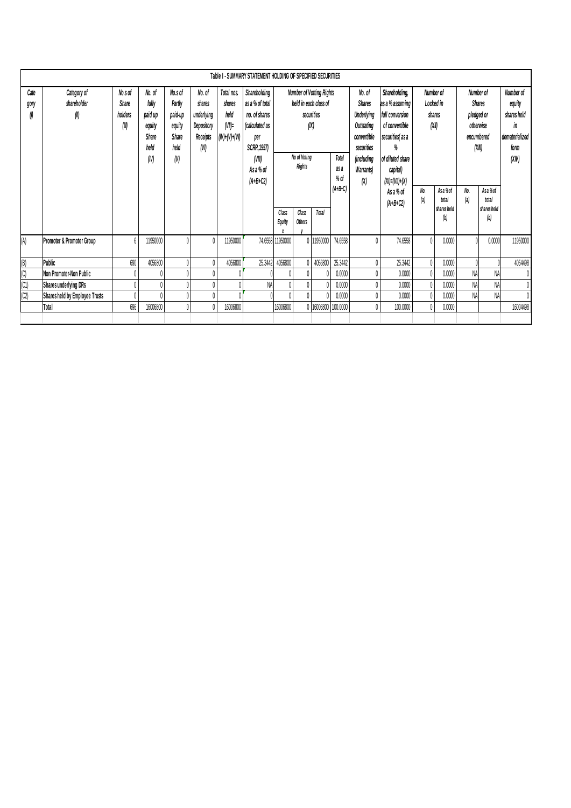|                             |                                    |                                      |                                                               |                                                                |                                                                  |                                                                                                                                                                                             | Table I - SUMMARY STATEMENT HOLDING OF SPECIFIED SECURITIES |                                                                             |                 |            |                                                            |                                  |            |              |                    |            |                    |                |  |  |                                                                                                                                          |                                                                                                                                                   |                                          |  |                                                                               |  |                                                                             |
|-----------------------------|------------------------------------|--------------------------------------|---------------------------------------------------------------|----------------------------------------------------------------|------------------------------------------------------------------|---------------------------------------------------------------------------------------------------------------------------------------------------------------------------------------------|-------------------------------------------------------------|-----------------------------------------------------------------------------|-----------------|------------|------------------------------------------------------------|----------------------------------|------------|--------------|--------------------|------------|--------------------|----------------|--|--|------------------------------------------------------------------------------------------------------------------------------------------|---------------------------------------------------------------------------------------------------------------------------------------------------|------------------------------------------|--|-------------------------------------------------------------------------------|--|-----------------------------------------------------------------------------|
| Cate<br>gory<br>$\emptyset$ | Category of<br>shareholder<br>(II) | No.s of<br>Share<br>holders<br>(III) | No, of<br>fully<br>paid up<br>equity<br>Share<br>held<br>(IV) | No.s of<br>Partly<br>paid-up<br>equity<br>Share<br>held<br>(V) | No. of<br>shares<br>underlying<br>Depository<br>Receipts<br>(VI) | Shareholding<br>Total nos.<br>as a % of total<br>shares<br>held<br>no, of shares<br>$(VI)$ =<br>(calculated as<br>$(N)+(V)+(VI)$<br>per<br>SCRR, 1957)<br>(VIII)<br>As a % of<br>$(A+B+C2)$ |                                                             | held in each class of<br>securities<br>(X)<br>No of Voting<br><b>Rights</b> |                 |            | <b>Number of Votting Rights</b><br>Total<br>as a<br>$%$ of |                                  |            |              |                    |            |                    |                |  |  | No. of<br><b>Shares</b><br><b>Underlying</b><br>Outstating<br>convertible<br>securities<br><i>(including</i><br><b>Warrants</b> )<br>(X) | Shareholding,<br>as a % assuming<br>full conversion<br>of convertible<br>securities as a<br>%<br>of diluted share<br>capital)<br>$(XI)=(VII)+(X)$ | Number of<br>Locked in<br>shares<br>(XI) |  | Number of<br><b>Shares</b><br>pledged or<br>otherwise<br>encumbered<br>(XIII) |  | Number of<br>equity<br>shares held<br>in<br>dematerialized<br>form<br>(XIV) |
|                             |                                    |                                      |                                                               |                                                                |                                                                  |                                                                                                                                                                                             |                                                             |                                                                             |                 |            | $(A+B+C)$                                                  |                                  | As a % of  | No.<br>(a)   | Asa %of<br>total   | No.<br>(a) | As a % of<br>total |                |  |  |                                                                                                                                          |                                                                                                                                                   |                                          |  |                                                                               |  |                                                                             |
|                             |                                    |                                      |                                                               |                                                                |                                                                  |                                                                                                                                                                                             |                                                             | Class<br>Equity                                                             | Class<br>Others | Total      |                                                            |                                  | $(A+B+C2)$ |              | shares held<br>(b) |            | shares held<br>(b) |                |  |  |                                                                                                                                          |                                                                                                                                                   |                                          |  |                                                                               |  |                                                                             |
| (A)                         | Promoter & Promoter Group          |                                      | 11950000                                                      | 0                                                              | $\theta$                                                         | 11950000                                                                                                                                                                                    | 74.6558                                                     | 1950000                                                                     |                 | 0 11950000 | 74.6558                                                    | $\sqrt{ }$                       | 74.6558    | $\theta$     | 0.0000             |            | 0.0000             | 11950000       |  |  |                                                                                                                                          |                                                                                                                                                   |                                          |  |                                                                               |  |                                                                             |
| (B)                         | Public                             | 690                                  | 4056800                                                       | 0                                                              |                                                                  | 4056800                                                                                                                                                                                     | 25.3442                                                     | 4056800                                                                     |                 | 4056800    | 25.3442                                                    | $\begin{array}{c} \n\end{array}$ | 25.3442    | $\mathbf{0}$ | 0.0000             |            |                    | 4054498        |  |  |                                                                                                                                          |                                                                                                                                                   |                                          |  |                                                                               |  |                                                                             |
| $\overline{C}$              | Non Promoter-Non Public            |                                      | 0                                                             | 0                                                              |                                                                  | 0                                                                                                                                                                                           |                                                             |                                                                             |                 |            | 0.0000                                                     | $\theta$                         | 0.0000     | $\mathbf{0}$ | 0.0000             | NA         | NA                 | $\mathbf{0}$   |  |  |                                                                                                                                          |                                                                                                                                                   |                                          |  |                                                                               |  |                                                                             |
| (C1)                        | <b>Shares underlying DRs</b>       |                                      | $\theta$                                                      |                                                                |                                                                  | $\mathbf{0}$                                                                                                                                                                                | NA                                                          |                                                                             |                 |            | 0.0000                                                     | $\theta$                         | 0.0000     | $\mathbf{0}$ | 0.0000             | NA         | NA                 | $\overline{0}$ |  |  |                                                                                                                                          |                                                                                                                                                   |                                          |  |                                                                               |  |                                                                             |
| (C2)                        | Shares held by Employee Trusts     |                                      | $\theta$                                                      | 0                                                              |                                                                  | $\sqrt{ }$                                                                                                                                                                                  |                                                             |                                                                             |                 |            | 0.0000                                                     | $\theta$                         | 0.0000     | $\mathbf{0}$ | 0.0000             | NA         | NA                 | $\mathbf{0}$   |  |  |                                                                                                                                          |                                                                                                                                                   |                                          |  |                                                                               |  |                                                                             |
|                             | Total                              | 696                                  | 16006800                                                      | 0                                                              |                                                                  | 16006800                                                                                                                                                                                    |                                                             | 16006800                                                                    |                 | 0 16006800 | 100.0000                                                   | $\theta$                         | 100,0000   | $\mathbf{0}$ | 0.0000             |            |                    | 16004498       |  |  |                                                                                                                                          |                                                                                                                                                   |                                          |  |                                                                               |  |                                                                             |
|                             |                                    |                                      |                                                               |                                                                |                                                                  |                                                                                                                                                                                             |                                                             |                                                                             |                 |            |                                                            |                                  |            |              |                    |            |                    |                |  |  |                                                                                                                                          |                                                                                                                                                   |                                          |  |                                                                               |  |                                                                             |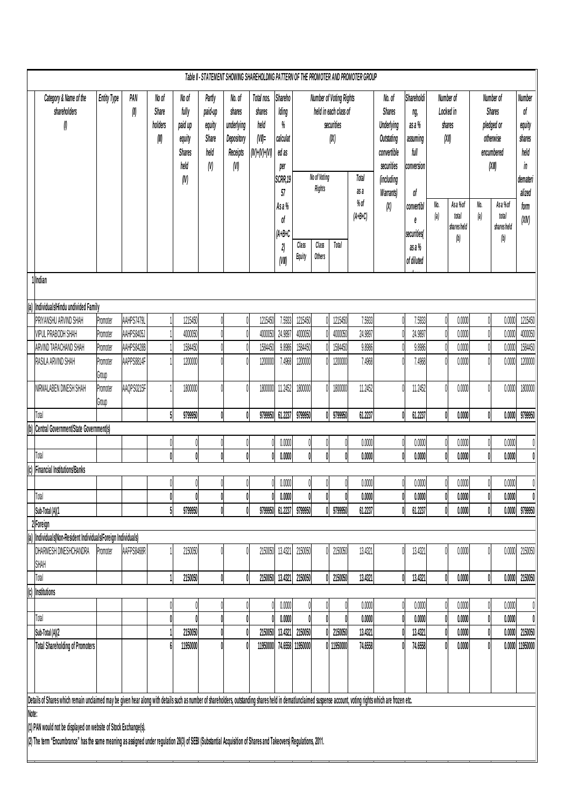|                                                       |                                                                                                                                                                                                                                    |                    |            |                                    |                                                                                |                                                     |                                                                  |                                                            |                                                                                   |                                                                                                               |                 |            | Table II - STATEMENT SHOWING SHAREHOLDING PATTERN OF THE PROMOTER AND PROMOTER GROUP |                                                                                                                                          |                                                                     |                                           |                                        |                                                                                                   |                             |                                                                      |
|-------------------------------------------------------|------------------------------------------------------------------------------------------------------------------------------------------------------------------------------------------------------------------------------------|--------------------|------------|------------------------------------|--------------------------------------------------------------------------------|-----------------------------------------------------|------------------------------------------------------------------|------------------------------------------------------------|-----------------------------------------------------------------------------------|---------------------------------------------------------------------------------------------------------------|-----------------|------------|--------------------------------------------------------------------------------------|------------------------------------------------------------------------------------------------------------------------------------------|---------------------------------------------------------------------|-------------------------------------------|----------------------------------------|---------------------------------------------------------------------------------------------------|-----------------------------|----------------------------------------------------------------------|
| Category & Name of the<br>shareholders<br>$\emptyset$ |                                                                                                                                                                                                                                    | <b>Entity Type</b> | PAN<br>Ø   | No of<br>Share<br>holders<br>(III) | No of<br>fully<br>paid up<br>equity<br><b>Shares</b><br>held<br>$(\mathsf{N})$ | Partly<br>paid-up<br>equity<br>Share<br>held<br>(V) | No. of<br>shares<br>underlying<br>Depository<br>Receipts<br>(VI) | Total nos.<br>shares<br>held<br>$(VI)$ =<br>$(N)+(V)+(V))$ | Shareho<br>Iding<br>$\%$<br>calculat<br>ed as<br>per<br>SCRR <sub>,19</sub><br>57 | <b>Number of Voting Rights</b><br>held in each class of<br>securities<br>(X)<br>No of Voting<br><b>Rights</b> |                 |            | Total<br>as a<br>$%$ of                                                              | No. of<br><b>Shares</b><br><b>Underlying</b><br><b>Outstating</b><br>convertible<br>securities<br><i>(including</i><br><b>Warrants</b> ) | Shareholdi<br>ng,<br>as a %<br>assuming<br>full<br>conversion<br>of | Number of<br>Locked in<br>shares<br>(XII) |                                        | Number of<br><b>Shares</b><br>pledged or<br>otherwise<br>encumbered<br>(XIII)<br>As a % of<br>No. |                             | Number<br>of<br>equity<br>shares<br>held<br>in<br>demateri<br>alized |
|                                                       |                                                                                                                                                                                                                                    |                    |            |                                    |                                                                                |                                                     |                                                                  |                                                            | Asa%<br>0f<br>$(A+B+C$<br>2)<br>(VIII)                                            | Class<br>Equity                                                                                               | Class<br>Others | Total      | $(A+B+C)$                                                                            | (X)                                                                                                                                      | convertibl<br>ê<br>securities<br>as a %<br>of diluted               | No.<br>$\left( a\right)$                  | Asa %of<br>total<br>shares held<br>(b) | (a)                                                                                               | total<br>shares held<br>(b) | form<br>(XIN)                                                        |
|                                                       | Indian                                                                                                                                                                                                                             |                    |            |                                    |                                                                                |                                                     |                                                                  |                                                            |                                                                                   |                                                                                                               |                 |            |                                                                                      |                                                                                                                                          |                                                                     |                                           |                                        |                                                                                                   |                             |                                                                      |
| (a)                                                   | Individuals/Hindu undivided Family                                                                                                                                                                                                 |                    |            |                                    |                                                                                |                                                     |                                                                  |                                                            |                                                                                   |                                                                                                               |                 |            |                                                                                      |                                                                                                                                          |                                                                     |                                           |                                        |                                                                                                   |                             |                                                                      |
|                                                       | PRIYANSHU ARVIND SHAH                                                                                                                                                                                                              | Promoter           | AAHPS7479L |                                    | 1215450                                                                        |                                                     | 0                                                                | 1215450                                                    | 7.5933                                                                            | 1215450                                                                                                       |                 | 1215450    | 7.5933                                                                               |                                                                                                                                          | 7.5933                                                              |                                           | 0.0000                                 | 0                                                                                                 | 0.0000                      | 1215450                                                              |
|                                                       | <b>VIPUL PRABODH SHAH</b>                                                                                                                                                                                                          | Promoter           | AAHPS8405J |                                    | 4000050                                                                        |                                                     |                                                                  | 400005                                                     | 24.9897                                                                           | 4000050                                                                                                       |                 | 4000050    | 24.9897                                                                              |                                                                                                                                          | 24.9897                                                             |                                           | 0.0000                                 | 0                                                                                                 | 0.0000                      | 4000050                                                              |
|                                                       | ARVIND TARACHAND SHAH                                                                                                                                                                                                              | Promoter           | AAHPS8428B |                                    | 1584450                                                                        |                                                     |                                                                  | 158445                                                     | 9.8986                                                                            | 1584450                                                                                                       |                 | 1584450    | 9.8986                                                                               |                                                                                                                                          | 9.8986                                                              |                                           | 0.0000                                 |                                                                                                   | 0.0000                      | 1584450                                                              |
|                                                       | RASILA ARVIND SHAH                                                                                                                                                                                                                 | Promoter<br>Group  | AAPPS8814F |                                    | 1200000                                                                        |                                                     |                                                                  | 1200000                                                    | 7.4968                                                                            | 1200000                                                                                                       |                 | 1200000    | 7.4968                                                                               |                                                                                                                                          | 7.4968                                                              |                                           | 0.0000                                 |                                                                                                   | 0.0000                      | 1200000                                                              |
|                                                       | NIRMALABEN DINESH SHAH                                                                                                                                                                                                             | Promoter<br>Group  | AAQPS0215F |                                    | 1800000                                                                        |                                                     |                                                                  | 1800000                                                    | 11.2452                                                                           | 1800000                                                                                                       |                 | 1800000    | 11.2452                                                                              |                                                                                                                                          | 11.2452                                                             |                                           | 0.0000                                 | N                                                                                                 | 0.0000                      | 1800000                                                              |
|                                                       | Total                                                                                                                                                                                                                              |                    |            |                                    | 9799950                                                                        | ſ                                                   | 0                                                                | 9799950                                                    | 61.2237                                                                           | 9799950                                                                                                       |                 | 9799950    | 61.2237                                                                              |                                                                                                                                          | 61.2237                                                             |                                           | 0.0000                                 | Î                                                                                                 | 0.0000                      | 9799950                                                              |
|                                                       | (b) Central Government/State Government(s)                                                                                                                                                                                         |                    |            |                                    |                                                                                |                                                     |                                                                  |                                                            |                                                                                   |                                                                                                               |                 |            |                                                                                      |                                                                                                                                          |                                                                     |                                           |                                        |                                                                                                   |                             |                                                                      |
|                                                       |                                                                                                                                                                                                                                    |                    |            |                                    |                                                                                |                                                     | 0                                                                |                                                            | $0.000$                                                                           |                                                                                                               |                 |            | 0.0000                                                                               |                                                                                                                                          | 0.0000                                                              |                                           | 0.0000                                 | 0                                                                                                 | 0.0000                      |                                                                      |
|                                                       | Total                                                                                                                                                                                                                              |                    |            |                                    |                                                                                | ſ                                                   | 0                                                                |                                                            | 0.0000                                                                            |                                                                                                               | $\mathbf{0}$    |            | 0.0000                                                                               |                                                                                                                                          | 0.0000                                                              |                                           | 0.0000                                 | Ô                                                                                                 | 0.0000                      | $\mathbf 0$                                                          |
| (c)                                                   | <b>Financial Institutions/Banks</b>                                                                                                                                                                                                |                    |            |                                    |                                                                                |                                                     |                                                                  |                                                            |                                                                                   |                                                                                                               |                 |            |                                                                                      |                                                                                                                                          |                                                                     |                                           |                                        |                                                                                                   |                             |                                                                      |
|                                                       |                                                                                                                                                                                                                                    |                    |            |                                    |                                                                                |                                                     |                                                                  |                                                            | 0.000                                                                             |                                                                                                               |                 |            | 0.0000                                                                               |                                                                                                                                          | 0.0000                                                              |                                           | 0.0000                                 |                                                                                                   | 0.0000                      |                                                                      |
|                                                       | Total                                                                                                                                                                                                                              |                    |            |                                    |                                                                                |                                                     | Λ                                                                |                                                            | 0.0000                                                                            |                                                                                                               |                 |            | 0.0000                                                                               |                                                                                                                                          | 0.0000                                                              |                                           | 0.0000                                 | Λ                                                                                                 | 0.0000                      | $\mathsf{N}$                                                         |
|                                                       | Sub-Total (A)(1                                                                                                                                                                                                                    |                    |            |                                    | 9799950                                                                        |                                                     |                                                                  | 9799950                                                    | 61.2237                                                                           | 9799950                                                                                                       |                 | 9799950    | 61.2237                                                                              |                                                                                                                                          | 61.2237                                                             |                                           | 0.0000                                 |                                                                                                   | 0.0000                      | 9799950                                                              |
|                                                       | 2 Foreign                                                                                                                                                                                                                          |                    |            |                                    |                                                                                |                                                     |                                                                  |                                                            |                                                                                   |                                                                                                               |                 |            |                                                                                      |                                                                                                                                          |                                                                     |                                           |                                        |                                                                                                   |                             |                                                                      |
| $\mathsf{a}\mathsf{)}$                                | Individuals(Non-Resident Individuals/Foreign Individuals)                                                                                                                                                                          |                    |            |                                    |                                                                                |                                                     |                                                                  |                                                            |                                                                                   |                                                                                                               |                 |            |                                                                                      |                                                                                                                                          |                                                                     |                                           |                                        |                                                                                                   |                             |                                                                      |
|                                                       | DHARMESH DINESHCHANDRA<br>SHAH                                                                                                                                                                                                     | Promoter           | AAFPS8468R |                                    | 2150050                                                                        |                                                     |                                                                  | 2150050                                                    | 13.4321                                                                           | 2150050                                                                                                       |                 | 2150050    | 13.4321                                                                              |                                                                                                                                          | 13.4321                                                             |                                           | 0.0000                                 |                                                                                                   | 0.0000                      | 2150050                                                              |
|                                                       | Total                                                                                                                                                                                                                              |                    |            |                                    | 2150050                                                                        |                                                     | $\mathbf{0}$                                                     | 2150050                                                    | 13.4321                                                                           | 2150050                                                                                                       |                 | 2150050    | 13.4321                                                                              |                                                                                                                                          | 13.4321                                                             |                                           | 0.0000                                 | Î                                                                                                 | 0.0000                      | 2150050                                                              |
| (c)                                                   | Institutions                                                                                                                                                                                                                       |                    |            |                                    |                                                                                |                                                     |                                                                  |                                                            |                                                                                   |                                                                                                               |                 |            |                                                                                      |                                                                                                                                          |                                                                     |                                           |                                        |                                                                                                   |                             |                                                                      |
|                                                       |                                                                                                                                                                                                                                    |                    |            |                                    |                                                                                |                                                     |                                                                  |                                                            | 0.0000                                                                            |                                                                                                               |                 |            | 0.0000                                                                               |                                                                                                                                          | 0.0000                                                              |                                           | 0.0000                                 |                                                                                                   | 0.0000                      |                                                                      |
|                                                       | Total                                                                                                                                                                                                                              |                    |            |                                    |                                                                                |                                                     |                                                                  |                                                            | 0.0000                                                                            |                                                                                                               |                 |            | 0.0000                                                                               |                                                                                                                                          | 0.0000                                                              |                                           | 0.0000                                 |                                                                                                   | 0.0000                      | 0                                                                    |
|                                                       | Sub-Total (A)(2                                                                                                                                                                                                                    |                    |            |                                    | 2150050                                                                        |                                                     |                                                                  | 2150050                                                    | 13.4321                                                                           | 2150050                                                                                                       |                 | 2150050    | 13.4321                                                                              |                                                                                                                                          | 13.4321                                                             |                                           | 0.0000                                 |                                                                                                   | 0.0000                      | 2150050                                                              |
|                                                       | <b>Total Shareholding of Promoters</b>                                                                                                                                                                                             |                    |            |                                    | 11950000                                                                       |                                                     |                                                                  | 11950000                                                   |                                                                                   | 74.6558 11950000                                                                                              |                 | 0 11950000 | 74.6558                                                                              |                                                                                                                                          | 74.6558                                                             |                                           | 0.0000                                 |                                                                                                   |                             | 0.0000 11950000                                                      |
|                                                       | Details of Shares which remain unclaimed may be given hear along with details such as number of shareholders, outstanding shares held in demat/unclaimed suspense account, voting rights which are frozen etc.                     |                    |            |                                    |                                                                                |                                                     |                                                                  |                                                            |                                                                                   |                                                                                                               |                 |            |                                                                                      |                                                                                                                                          |                                                                     |                                           |                                        |                                                                                                   |                             |                                                                      |
| Note:                                                 | (1) PAN would not be displayed on website of Stock Exchange(s).<br>(2) The term "Encumbrance" has the same meaning as assigned under regulation 28(3) of SEBI (Substantial Acquisition of Shares and Takeovers) Regulations, 2011. |                    |            |                                    |                                                                                |                                                     |                                                                  |                                                            |                                                                                   |                                                                                                               |                 |            |                                                                                      |                                                                                                                                          |                                                                     |                                           |                                        |                                                                                                   |                             |                                                                      |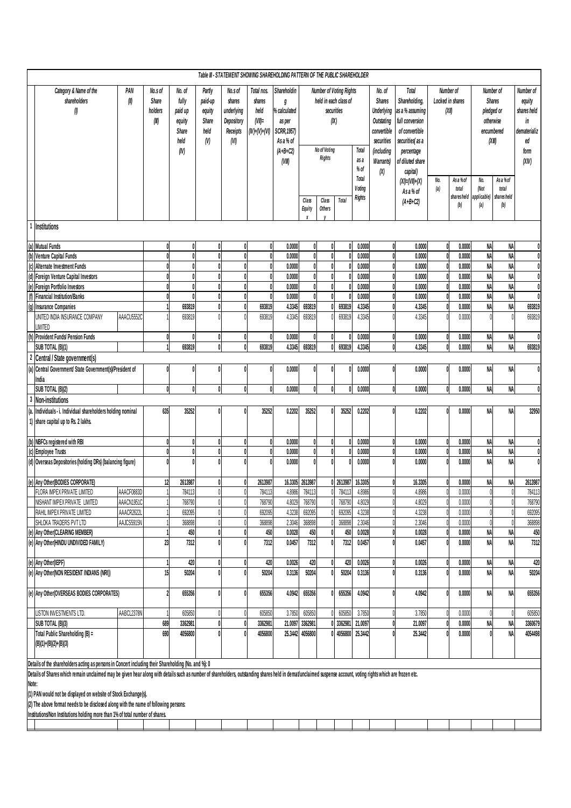|                  | Table III - STATEMENT SHOWING SHAREHOLDING PATTERN OF THE PUBLIC SHAREHOLDER                                                                                                                                                                                                                                                                                                                                                                               |                        |                    |                                                                                                                                                                 |              |                                                                   |                                                             |                                                                                                |                 |                        |                                                                               |                                  |                                                                                                                                  |                                                                                                                                                 |                                        |                                        |                                                                               |                                        |                                                                                 |
|------------------|------------------------------------------------------------------------------------------------------------------------------------------------------------------------------------------------------------------------------------------------------------------------------------------------------------------------------------------------------------------------------------------------------------------------------------------------------------|------------------------|--------------------|-----------------------------------------------------------------------------------------------------------------------------------------------------------------|--------------|-------------------------------------------------------------------|-------------------------------------------------------------|------------------------------------------------------------------------------------------------|-----------------|------------------------|-------------------------------------------------------------------------------|----------------------------------|----------------------------------------------------------------------------------------------------------------------------------|-------------------------------------------------------------------------------------------------------------------------------------------------|----------------------------------------|----------------------------------------|-------------------------------------------------------------------------------|----------------------------------------|---------------------------------------------------------------------------------|
|                  | Category & Name of the<br>shareholders<br>Ø                                                                                                                                                                                                                                                                                                                                                                                                                | PAN<br>(II)<br>holders |                    | No.s of<br>No. of<br>Partly<br>fully<br>Share<br>paid-up<br>paid up<br>equity<br><b>Share</b><br>(III)<br>equity<br>held<br><b>Share</b><br>(V)<br>held<br>(IV) |              | No.s of<br>shares<br>underlying<br>Depository<br>Receipts<br>(VI) | Total nos.<br>shares<br>held<br>$(VII)=$<br>$(IV)+(V)+(VI)$ | Shareholdin<br>g<br>% calculated<br>as per<br>SCRR, 1957)<br>As a % of<br>$(A+B+C2)$<br>(VIII) |                 | No of Voting<br>Rights | <b>Number of Voting Rights</b><br>held in each class of<br>securities<br>(IX) | Total<br>as a<br>$%$ of<br>Total | No. of<br><b>Shares</b><br>Underlying<br>Outstating<br>convertible<br>securities<br><i>(including</i><br><b>Warrants)</b><br>(X) | Total<br>Shareholding,<br>as a % assuming<br>full conversion<br>of convertible<br>securities as a<br>percentage<br>of diluted share<br>capital) | Number of<br>Locked in shares<br>(XII) |                                        | Number of<br><b>Shares</b><br>pledged or<br>otherwise<br>encumbered<br>(XIII) |                                        | Number of<br>equity<br>shares held<br>in<br>dematerializ<br>ed<br>form<br>(XIN) |
|                  |                                                                                                                                                                                                                                                                                                                                                                                                                                                            |                        |                    |                                                                                                                                                                 |              |                                                                   |                                                             |                                                                                                | Class<br>Equity | Class<br>Others        | Total                                                                         | Voting<br><b>Rights</b>          |                                                                                                                                  | $(XI)=(VII)+(X)$<br>As a % of<br>$(A+B+C2)$                                                                                                     | No.<br>(a)                             | Asa %of<br>total<br>shares held<br>(b) | No.<br>(Not<br>applicable)<br>(a)                                             | Asa %of<br>total<br>shares held<br>(b) |                                                                                 |
|                  | <b>Institutions</b>                                                                                                                                                                                                                                                                                                                                                                                                                                        |                        |                    |                                                                                                                                                                 |              |                                                                   |                                                             |                                                                                                |                 |                        |                                                                               |                                  |                                                                                                                                  |                                                                                                                                                 |                                        |                                        |                                                                               |                                        |                                                                                 |
|                  | (a) Mutual Funds                                                                                                                                                                                                                                                                                                                                                                                                                                           |                        | $\mathbf{0}$       | 0                                                                                                                                                               |              |                                                                   |                                                             | 0.0000                                                                                         |                 | Ô                      |                                                                               | 0.0000                           | 0                                                                                                                                | 0.0000                                                                                                                                          | $\mathbf{0}$                           | 0.0000                                 | NA                                                                            | <b>NA</b>                              | 0                                                                               |
|                  | (b) Venture Capital Funds                                                                                                                                                                                                                                                                                                                                                                                                                                  |                        | ſ                  |                                                                                                                                                                 |              |                                                                   |                                                             | 0.0000                                                                                         |                 | Ô                      |                                                                               | 0.0000                           |                                                                                                                                  | 0.0000                                                                                                                                          |                                        | 0.0000                                 | <b>NA</b>                                                                     | <b>NA</b>                              | $\mathbf{0}$                                                                    |
|                  | (c) Alternate Investment Funds                                                                                                                                                                                                                                                                                                                                                                                                                             |                        |                    |                                                                                                                                                                 |              |                                                                   |                                                             | 0.0000                                                                                         |                 | Ô                      |                                                                               | 0.0000                           |                                                                                                                                  | 0.0000                                                                                                                                          |                                        | 0.0000                                 | NA                                                                            | <b>NA</b>                              | $\mathbf{0}$                                                                    |
|                  | (d) Foreign Venture Capital Investors                                                                                                                                                                                                                                                                                                                                                                                                                      |                        | ſ                  |                                                                                                                                                                 |              |                                                                   |                                                             | 0.0000                                                                                         |                 |                        |                                                                               | 0.0000                           |                                                                                                                                  | 0.0000                                                                                                                                          |                                        | 0.0000                                 | <b>NA</b>                                                                     | <b>NA</b>                              | $\mathbf{0}$                                                                    |
|                  | (e) Foreian Portfolio Investors                                                                                                                                                                                                                                                                                                                                                                                                                            |                        |                    |                                                                                                                                                                 |              |                                                                   |                                                             | 0.0000                                                                                         |                 | ſ                      |                                                                               | 0.0000                           |                                                                                                                                  | 0.0000                                                                                                                                          |                                        | 0.0000                                 | <b>NA</b>                                                                     | <b>NA</b>                              | $\mathbf{0}$                                                                    |
|                  | <b>Financial Institution/Banks</b><br>(g) Insurance Companies                                                                                                                                                                                                                                                                                                                                                                                              |                        |                    | 693819                                                                                                                                                          |              |                                                                   | 693819                                                      | 0.0000<br>4.3345                                                                               | 693819          |                        | 693819                                                                        | 0.0000<br>4.3345                 |                                                                                                                                  | 0.0000<br>4.3345                                                                                                                                |                                        | 0.0000<br>0.0000                       | <b>NA</b><br>NA                                                               | <b>NA</b><br><b>NA</b>                 | $\mathbf{0}$<br>693819                                                          |
|                  | UNITED INDIA INSURANCE COMPANY                                                                                                                                                                                                                                                                                                                                                                                                                             | AAACU5552C             |                    | 693819                                                                                                                                                          |              |                                                                   | 693819                                                      | 4.3345                                                                                         | 693819          |                        | 693819                                                                        | 4.3345                           |                                                                                                                                  | 4.3345                                                                                                                                          |                                        | 0.0000                                 |                                                                               | $\theta$                               | 693819                                                                          |
|                  | LIMITED                                                                                                                                                                                                                                                                                                                                                                                                                                                    |                        |                    |                                                                                                                                                                 |              |                                                                   |                                                             |                                                                                                |                 |                        |                                                                               |                                  |                                                                                                                                  |                                                                                                                                                 |                                        |                                        |                                                                               |                                        |                                                                                 |
|                  | (h) Provident Funds/ Pension Funds                                                                                                                                                                                                                                                                                                                                                                                                                         |                        | ſ                  |                                                                                                                                                                 |              |                                                                   |                                                             | 0.0000                                                                                         |                 | ſ                      |                                                                               | 0.0000                           |                                                                                                                                  | 0.0000                                                                                                                                          |                                        | 0.0000                                 | NA                                                                            | <b>NA</b>                              | $\mathbf{0}$                                                                    |
|                  | SUB TOTAL (B)(1)                                                                                                                                                                                                                                                                                                                                                                                                                                           |                        |                    | 693819                                                                                                                                                          |              |                                                                   | 693819                                                      | 4.3345                                                                                         | 693819          |                        | 693819                                                                        | 4.3345                           |                                                                                                                                  | 4.3345                                                                                                                                          |                                        | 0.0000                                 | <b>NA</b>                                                                     | <b>NA</b>                              | 693819                                                                          |
| $\boldsymbol{2}$ | Central / State government(s)                                                                                                                                                                                                                                                                                                                                                                                                                              |                        |                    |                                                                                                                                                                 |              |                                                                   |                                                             |                                                                                                |                 |                        |                                                                               |                                  |                                                                                                                                  |                                                                                                                                                 |                                        |                                        |                                                                               |                                        |                                                                                 |
| (a)              | Central Government/ State Government(s)/President of                                                                                                                                                                                                                                                                                                                                                                                                       |                        | O                  | ſ                                                                                                                                                               |              |                                                                   |                                                             | 0.0000                                                                                         |                 |                        |                                                                               | 0.0000                           |                                                                                                                                  | 0.0000                                                                                                                                          | $\mathbf{0}$                           | 0.0000                                 | NA                                                                            | <b>NA</b>                              | $\mathbf{0}$                                                                    |
|                  | India                                                                                                                                                                                                                                                                                                                                                                                                                                                      |                        |                    |                                                                                                                                                                 |              |                                                                   |                                                             |                                                                                                |                 |                        |                                                                               |                                  |                                                                                                                                  |                                                                                                                                                 |                                        |                                        |                                                                               |                                        |                                                                                 |
|                  | SUB TOTAL (B)(2)                                                                                                                                                                                                                                                                                                                                                                                                                                           |                        | $\mathbf{0}$       | $\mathbf{0}$                                                                                                                                                    | $\mathbf{0}$ |                                                                   | ſ                                                           | 0.0000                                                                                         |                 | $\mathbf{0}$           |                                                                               | 0.0000                           |                                                                                                                                  | 0.0000                                                                                                                                          | 0                                      | 0.0000                                 | <b>NA</b>                                                                     | <b>NA</b>                              | $\mathbf{0}$                                                                    |
|                  | 3 Non-institutions                                                                                                                                                                                                                                                                                                                                                                                                                                         |                        |                    |                                                                                                                                                                 |              |                                                                   |                                                             |                                                                                                |                 |                        |                                                                               |                                  |                                                                                                                                  |                                                                                                                                                 |                                        |                                        |                                                                               |                                        |                                                                                 |
| (a.              | Individuals - i. Individual shareholders holding nominal<br>1) share capital up to Rs. 2 lakhs.                                                                                                                                                                                                                                                                                                                                                            |                        | 635                | 35252                                                                                                                                                           |              |                                                                   | 35252                                                       | 0.2202                                                                                         | 35252           | Ô                      | 35252                                                                         | 0.2202                           |                                                                                                                                  | 0.2202                                                                                                                                          | 0                                      | 0.0000                                 | <b>NA</b>                                                                     | <b>NA</b>                              | 32950                                                                           |
|                  | (b) NBFCs registered with RBI                                                                                                                                                                                                                                                                                                                                                                                                                              |                        | 0                  | $\mathbf{0}$                                                                                                                                                    |              |                                                                   |                                                             | 0.0000                                                                                         |                 | $\mathbf{0}$           |                                                                               | 0.0000                           | 0                                                                                                                                | 0.0000                                                                                                                                          | 0                                      | 0.0000                                 | NA                                                                            | <b>NA</b>                              | $\mathbf{0}$                                                                    |
|                  | (c) Employee Trusts                                                                                                                                                                                                                                                                                                                                                                                                                                        |                        | $\mathbf{0}$       | $\mathbf{0}$                                                                                                                                                    |              |                                                                   |                                                             | 0.0000                                                                                         | $\mathbf{0}$    | $\mathbf{0}$           |                                                                               | 0.0000                           |                                                                                                                                  | 0.0000                                                                                                                                          | 0                                      | 0.0000                                 | <b>NA</b>                                                                     | <b>NA</b>                              | $\mathbf{0}$                                                                    |
|                  | (d) Overseas Depositories (holding DRs) (balancing figure)                                                                                                                                                                                                                                                                                                                                                                                                 |                        | $\mathbf{0}$<br>12 | 2613987                                                                                                                                                         |              |                                                                   | 2613987                                                     | 0.0000                                                                                         | 2613987         | Ô                      | 2613987                                                                       | 0.0000<br>16.3305                |                                                                                                                                  | 0.0000<br>16.3305                                                                                                                               | Ô                                      | 0.0000                                 | NA<br>NA                                                                      | <b>NA</b><br><b>NA</b>                 | $\mathbf{0}$<br>2613987                                                         |
|                  | (e) Any Other(BODIES CORPORATE)<br>FLORA IMPEX PRIVATE LIMITED                                                                                                                                                                                                                                                                                                                                                                                             | AAACF0883D             |                    | 784113                                                                                                                                                          |              |                                                                   | 784113                                                      | 16.3305<br>4.8986                                                                              | 784113          |                        | 784113                                                                        | 4.8986                           |                                                                                                                                  | 4.8986                                                                                                                                          |                                        | 0.0000<br>0.0000                       |                                                                               | 0                                      | 784113                                                                          |
|                  | NISHANT IMPEX PRIVATE LIMITED                                                                                                                                                                                                                                                                                                                                                                                                                              | AAACN1951C             |                    | 768790                                                                                                                                                          |              |                                                                   | 768790                                                      | 4.8029                                                                                         | 768790          | 01                     | 768790                                                                        | 4.8029                           |                                                                                                                                  | 4.8029                                                                                                                                          | 0                                      | 0.0000                                 |                                                                               | $\mathbf{0}$                           | 768790                                                                          |
|                  | RAHIL IMPEX PRIVATE LIMITED                                                                                                                                                                                                                                                                                                                                                                                                                                | AAACR2622L             |                    | 692095                                                                                                                                                          |              |                                                                   | 692095                                                      | 4.3238                                                                                         | 692095          |                        | 692095                                                                        | 4.3238                           |                                                                                                                                  | 4.3238                                                                                                                                          |                                        | 0.0000                                 |                                                                               | 0                                      | 692095                                                                          |
|                  | SHLOKA TRADERS PVT LTD                                                                                                                                                                                                                                                                                                                                                                                                                                     | AAJCS5915N             |                    | 368898                                                                                                                                                          |              |                                                                   | 368898                                                      | 2.3046                                                                                         | 368898          |                        | 368898                                                                        | 2.3046                           |                                                                                                                                  | 2.3046                                                                                                                                          |                                        | 0.0000                                 |                                                                               |                                        | 368898                                                                          |
|                  | (e) Any Other(CLEARING MEMBER)                                                                                                                                                                                                                                                                                                                                                                                                                             |                        |                    | 450                                                                                                                                                             |              |                                                                   | 450                                                         | 0.0028                                                                                         | 450             |                        | 450                                                                           | 0.0028                           |                                                                                                                                  | 0.0028                                                                                                                                          |                                        | 0.0000                                 | NA                                                                            | NA                                     | 450                                                                             |
|                  | (e) Any Other(HINDU UNDIVIDED FAMILY)                                                                                                                                                                                                                                                                                                                                                                                                                      |                        | 23                 | 7312                                                                                                                                                            |              |                                                                   | 7312                                                        | 0.0457                                                                                         | 7312            |                        | 7312                                                                          | 0.0457                           |                                                                                                                                  | 0.0457                                                                                                                                          |                                        | 0.0000                                 | <b>NA</b>                                                                     | NA                                     | 7312                                                                            |
|                  | (e) Any Other(IEPF)                                                                                                                                                                                                                                                                                                                                                                                                                                        |                        |                    | 420                                                                                                                                                             |              |                                                                   | 420                                                         | 0.0026                                                                                         | 420             |                        | 420                                                                           | 0.0026                           |                                                                                                                                  | 0.0026                                                                                                                                          |                                        | 0.0000                                 | NA                                                                            | NA                                     | 420                                                                             |
|                  | (e) Any Other(NON RESIDENT INDIANS (NRI))                                                                                                                                                                                                                                                                                                                                                                                                                  |                        | 15                 | 50204                                                                                                                                                           |              |                                                                   | 50204                                                       | 0.3136                                                                                         | 50204           |                        | 50204                                                                         | 0.3136                           |                                                                                                                                  | 0.3136                                                                                                                                          |                                        | 0.0000                                 | <b>NA</b>                                                                     | <b>NA</b>                              | 50204                                                                           |
|                  | (e) Any Other(OVERSEAS BODIES CORPORATES)                                                                                                                                                                                                                                                                                                                                                                                                                  |                        | $\mathbf 2$        | 655356                                                                                                                                                          |              |                                                                   | 655356                                                      | 4.0942                                                                                         | 655356          |                        | 655356                                                                        | 4.0942                           |                                                                                                                                  | 4.0942                                                                                                                                          |                                        | 0.0000                                 | <b>NA</b>                                                                     | <b>NA</b>                              | 655356                                                                          |
|                  | LISTON INVESTMENTS LTD.                                                                                                                                                                                                                                                                                                                                                                                                                                    | AABCL2378N             |                    | 605850                                                                                                                                                          |              |                                                                   | 605850                                                      | 3.7850                                                                                         | 605850          |                        | 605850                                                                        | 3.7850                           |                                                                                                                                  | 3.7850                                                                                                                                          |                                        | 0.0000                                 |                                                                               |                                        | 605850                                                                          |
|                  | SUB TOTAL (B)(3)                                                                                                                                                                                                                                                                                                                                                                                                                                           |                        | 689                | 3362981                                                                                                                                                         |              |                                                                   | 3362981                                                     | 21.0097                                                                                        | 3362981         |                        | 3362981                                                                       | 21.0097                          |                                                                                                                                  | 21.0097                                                                                                                                         |                                        | 0.0000                                 | NA                                                                            | NA                                     | 3360679                                                                         |
|                  | Total Public Shareholding (B) =<br>$(B)(1)+(B)(2)+(B)(3)$                                                                                                                                                                                                                                                                                                                                                                                                  |                        | 690                | 4056800                                                                                                                                                         |              |                                                                   | 4056800                                                     | 25.3442                                                                                        | 4056800         |                        | 4056800                                                                       | 25.3442                          |                                                                                                                                  | 25.3442                                                                                                                                         |                                        | 0.0000                                 |                                                                               | <b>NA</b>                              | 4054498                                                                         |
|                  | Details of the shareholders acting as persons in Concert including their Shareholding (No. and %): 0                                                                                                                                                                                                                                                                                                                                                       |                        |                    |                                                                                                                                                                 |              |                                                                   |                                                             |                                                                                                |                 |                        |                                                                               |                                  |                                                                                                                                  |                                                                                                                                                 |                                        |                                        |                                                                               |                                        |                                                                                 |
| Note:            | Details of Shares which remain unclaimed may be given hear along with details such as number of shareholders, outstanding shares held in demat/unclaimed suspense account, voting rights which are frozen etc.<br>(1) PAN would not be displayed on website of Stock Exchange(s).<br>(2) The above format needs to be disclosed along with the name of following persons:<br>Institutions/Non Institutions holding more than 1% of total number of shares. |                        |                    |                                                                                                                                                                 |              |                                                                   |                                                             |                                                                                                |                 |                        |                                                                               |                                  |                                                                                                                                  |                                                                                                                                                 |                                        |                                        |                                                                               |                                        |                                                                                 |